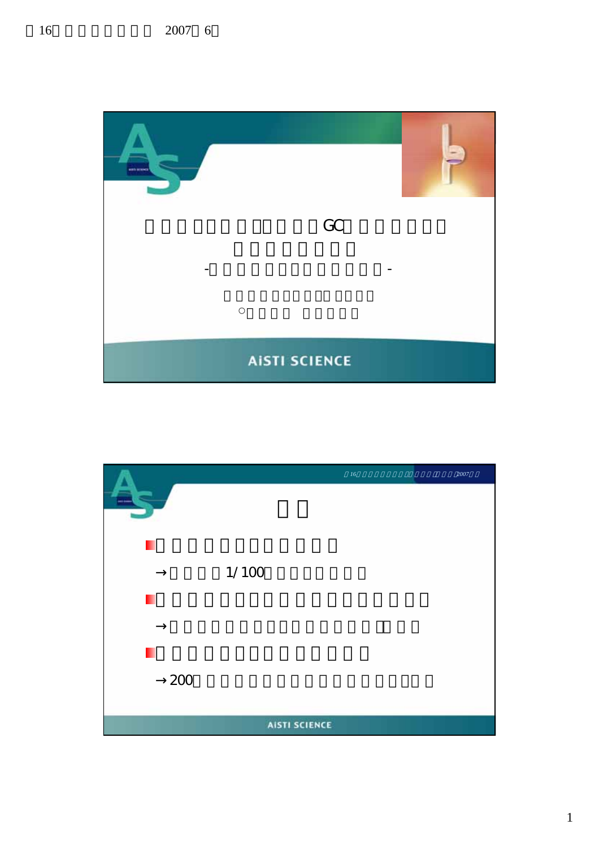

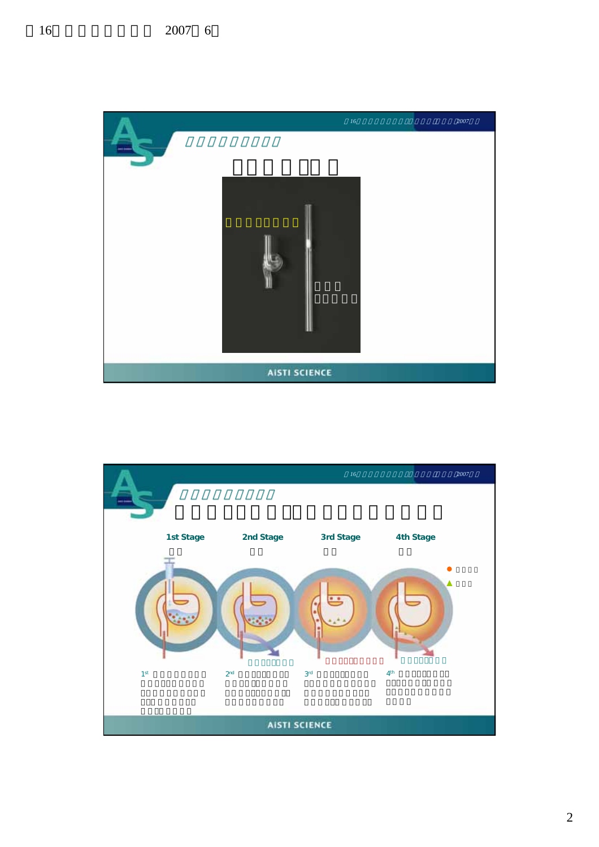

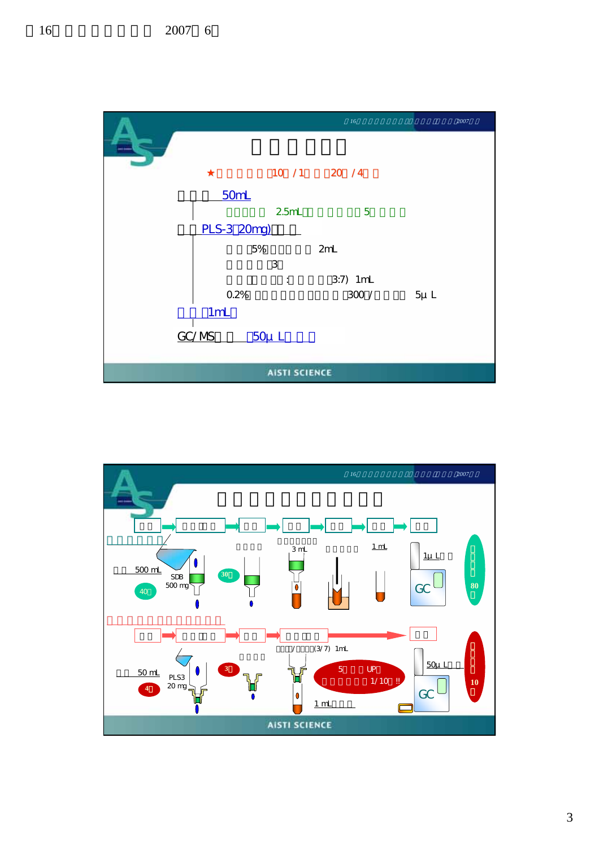

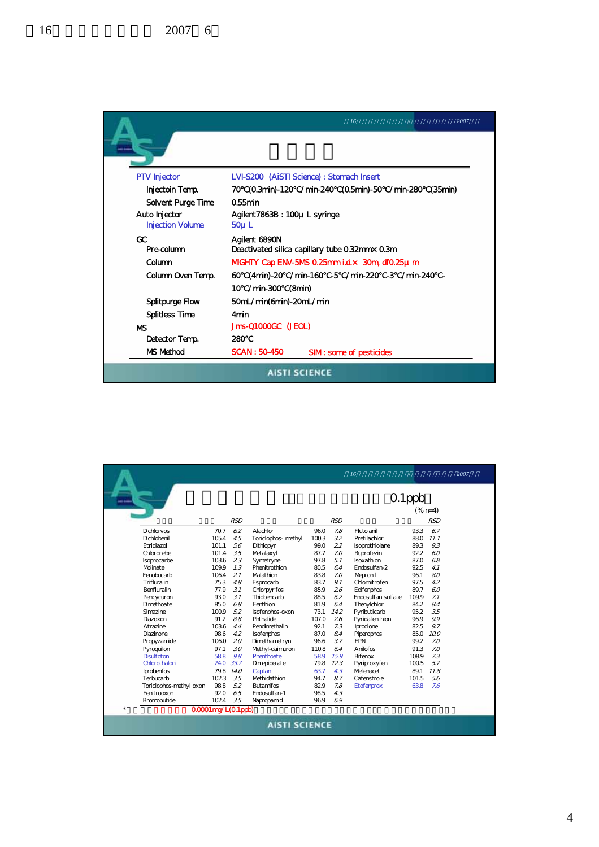

|                          |                    |            |                             |              |           | 16                              |           | 2007              |
|--------------------------|--------------------|------------|-----------------------------|--------------|-----------|---------------------------------|-----------|-------------------|
|                          |                    |            |                             |              |           |                                 | $0.1$ ppb | $(% )^{2}(6 n=4)$ |
|                          |                    | <b>RSD</b> |                             |              | RSD       |                                 |           | RSD               |
| <b>Dichlorvos</b>        | 70.7               | 62         | Alachlor                    | 96.0         |           | Flutolanil                      | 93.3      | 67                |
| Dichlobenil              | 105.4              | 4.5        |                             | 100.3        | 7.8<br>32 | Pretilachlor                    | 88.0      | 11.1              |
| Etridiazol               | 101.1              | 5.6        | Toriclophos- methyl         | 99.0         | 22        |                                 | 89.3      | 9.3               |
| Chloronebe               | 101.4              | 3.5        | Dithiopyr                   |              | 7.0       | Isoprothiolane                  | 92.2      | 60                |
|                          | 103.6              | 2.3        | Metalaxyl                   | 87.7<br>97.8 | 51        | Buprofezin<br><b>Isoxathion</b> | 87.0      | 68                |
| Isoprocarbe<br>Molinate  |                    | 7.3        | Symetryne<br>Phenitrothion  | 80.5         |           |                                 | 92.5      | 4.1               |
| Fenobucarb               | 109.9<br>106.4     | 2.1        | Malathion                   | 83.8         | 64<br>7.0 | Endosulfan-2                    | 96.1      | 8.0               |
| Trifluralin              | 75.3               |            |                             |              | 9.1       | Mepronil<br>Chlornitrofen       | 97.5      | 42                |
| <b>Benfluralin</b>       | 77.9               | 48<br>3.1  | Esprocarb                   | 83.7<br>85.9 | 26        |                                 | 89.7      | 60                |
|                          | 93.0               | .31        | Chlorpyrifos<br>Thiobencarb | 88.5         | 62        | Edifenphos                      | 109.9     | 7.1               |
| Pencycuron<br>Dimethoate | 85.0               |            | Fenthion                    |              |           | Endosulfan sulfate              |           | 84                |
|                          |                    | 6.8        |                             | 81.9         | 64        | Thenylchlor                     | 84.2      | 3.5               |
| Simazine                 | 100.9<br>91.2      | 5.2<br>88  | Isofenphos-oxon             | 73.1         | 14.2      | Pvributicarb                    | 95.2      | 9.9               |
| Diazoxon                 |                    |            | Phthalide                   | 107.0        | 26        | Pyridafenthion                  | 96.9      |                   |
| A trazine                | 103.6              | 4.4        | Pendimethalin               | 92.1         | 7.3       | Iprodione                       | 82.5      | 9.7               |
| <b>Diazinone</b>         | 98.6               | 4.2        | Isofenphos                  | 87.0         | 84        | Piperophos                      | 85.0      | 10.0              |
| Propyzamide              | 106.0              | 20         | Dimethametryn               | 96.6         | .37       | <b>FPN</b>                      | 99.2      | 7.0               |
| Pyroquilon               | 97.1               | $30^{3}$   | Methyl-daimuron             | 110.8        | 64        | Anilofos                        | 91.3      | 7.0               |
| <b>Disulfoton</b>        | 58.8               | 9.8        | Phenthoate                  | 58.9         | 15.9      | <b>Bifenox</b>                  | 108.9     | 7.3               |
| Chlorothalonil           | 24.0               | 33.7       | Dimepiperate                | 79.8         | 123       | Pyriproxyfen                    | 100.5     | .57               |
| Iprobenfos               | 79.8               | 14.0       | Captan                      | 63.7         | 4.3       | Mefenacet                       | 89.1      | 11.8              |
| Terbucarb                | 102.3              | 3.5        | Methidathion                | 94.7         | 87        | Cafenstrole                     | 101.5     | 56                |
| Toriclophos-methyl oxon  | 98.8               | 5.2        | <b>Butamifos</b>            | 82.9         | 7.8       | <b>Etofenprox</b>               | 63.8      | 7.6               |
| Fenitrooxon              | 92.0               | 6.5        | Fndosulfan-1                | 98.5         | 4.3       |                                 |           |                   |
| <b>Bromobutide</b>       | 102.4              | 35         | Napropamid                  | 96.9         | 69        |                                 |           |                   |
| $\star$                  | 0.0001mg/L(0.1ppb) |            |                             |              |           |                                 |           |                   |
|                          |                    |            | <b>AISTI SCIENCE</b>        |              |           |                                 |           |                   |

4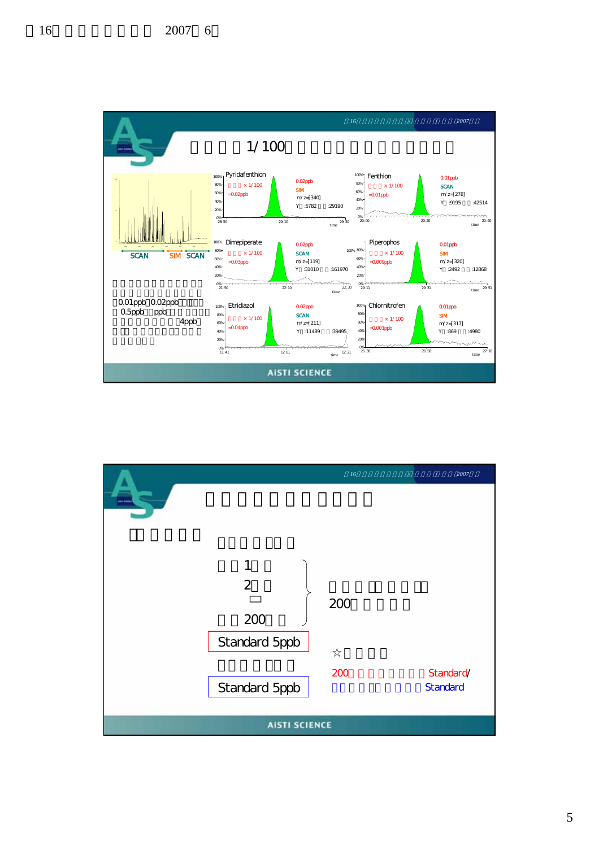

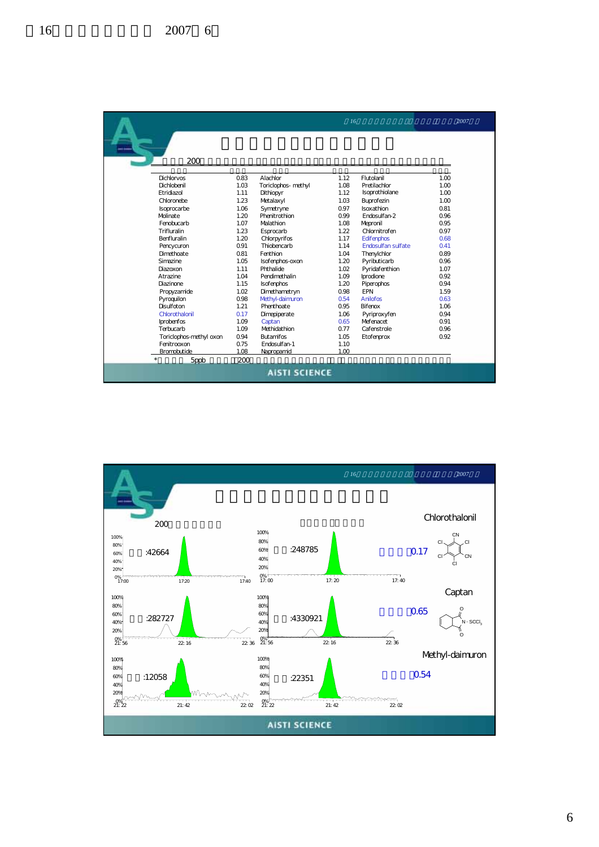|                         |      |                     | 16   |                           | 2007 |  |
|-------------------------|------|---------------------|------|---------------------------|------|--|
| 200                     |      |                     |      |                           |      |  |
| <b>Dichlorvos</b>       | 0.83 | Alachlor            | 1.12 | Flutolanil                | 1.00 |  |
| Dichlobenil             | 1.03 | Toriclophos- methyl | 1.08 | Pretilachlor              | 1.00 |  |
| F tridiazol             | 1.11 | Dithiopyr           | 1.12 | Isoprothiolane            | 1.00 |  |
| Chloronebe              | 1.23 | Metalaxyl           | 1.03 | Buprofezin                | 1.00 |  |
| Isoprocarbe             | 1.06 | Symetryne           | 0.97 | <b>Isoxathion</b>         | 0.81 |  |
| <b>Molinate</b>         | 1.20 | Phenitrothion       | 0.99 | Fndosulfan-2              | 0.96 |  |
| Fenobucarb              | 1.07 | Malathion           | 1.08 | Mepronil                  | 0.95 |  |
| Trifluralin             | 1.23 | Esprocarb           | 1.22 | Chlornitrofen             | 0.97 |  |
| Benfluralin             | 1.20 | Chlorpyrifos        | 1.17 | Edifenphos                | 0.68 |  |
| Pencycuron              | 0.91 | Thiobencarb         | 1.14 | <b>Endosulfan sulfate</b> | 0.41 |  |
| Dimethoate              | 0.81 | Fenthion            | 1.04 | Thenylchlor               | 0.89 |  |
| Simazine                | 1.05 | Isofenphos-oxon     | 1.20 | Pyributicarb              | 0.96 |  |
| Diazoxon                | 1.11 | Phthalide           | 1.02 | Pyridafenthion            | 1.07 |  |
| A trazine               | 1.04 | Pendimethalin       | 1.09 | Iprodione                 | 0.92 |  |
| <b>Diazinone</b>        | 1.15 | Isofenphos          | 1.20 | Piperophos                | 0.94 |  |
| Propyzamide             | 1.02 | Dimethametryn       | 0.98 | <b>FPN</b>                | 1.59 |  |
| Pyroquilon              | 0.98 | Methyl-daimuron     | 0.54 | Anilofos                  | 0.63 |  |
| <b>Disulfoton</b>       | 1.21 | Phenthoate          | 0.95 | <b>Bifenox</b>            | 1.06 |  |
| Chlorothalonil          | 0.17 | Dimepiperate        | 1.06 | Pyriproxyfen              | 0.94 |  |
| Iprobenfos              | 1.09 | Captan              | 0.65 | Mefenacet                 | 0.91 |  |
| Terbucarb               | 1.09 | Methidathion        | 0.77 | Cafenstrole               | 0.96 |  |
| Toriclophos-methyl oxon | 0.94 | <b>Butamifos</b>    | 1.05 | E tofenprox               | 0.92 |  |
| Fenitrooxon             | 0.75 | Endosulfan-1        | 1.10 |                           |      |  |
| Bromobutide             | 1.08 | Napropamid          | 1.00 |                           |      |  |
| $\star$<br>5ppb         | 200  |                     |      |                           |      |  |